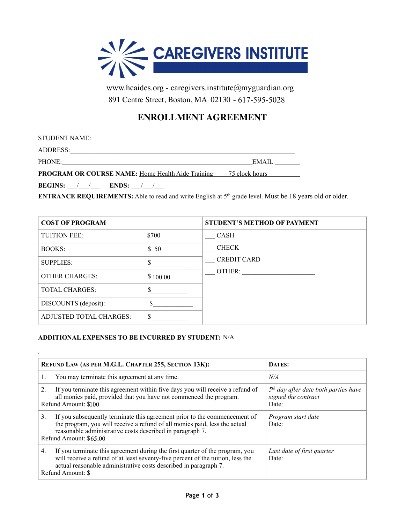

www.hcaides.org - caregivers.institute@myguardian.org<br>891 Centre Street, Boston, MA 02130 - 617-595-5028

## **ENROLLMENT AGREEMENT**

| STUDENT NAME:<br><u> 1980 - Jan Samuel Barbara, martin da shekara 1980 - An tsara 1980 - An tsara 1980 - An tsara 1980 - An tsara</u> |        |
|---------------------------------------------------------------------------------------------------------------------------------------|--------|
| ADDRESS:                                                                                                                              |        |
| PHONE:                                                                                                                                | EMAIL. |
| <b>PROGRAM OR COURSE NAME:</b> Home Health Aide Training 75 clock hours                                                               |        |

**BEGINS:** / / **ENDS:** / /

à,

**ENTRANCE REQUIREMENTS:** Able to read and write English at 5<sup>th</sup> grade level. Must be 18 years old or older.

| <b>COST OF PROGRAM</b>         |          | <b>STUDENT'S METHOD OF PAYMENT</b> |
|--------------------------------|----------|------------------------------------|
| <b>TUITION FEE:</b>            | \$700    | <b>CASH</b>                        |
| <b>BOOKS:</b>                  | \$50     | <b>CHECK</b>                       |
| <b>SUPPLIES:</b>               |          | <b>CREDIT CARD</b>                 |
| <b>OTHER CHARGES:</b>          | \$100.00 | OTHER:                             |
| <b>TOTAL CHARGES:</b>          |          |                                    |
| DISCOUNTS (deposit):           |          |                                    |
| <b>ADJUSTED TOTAL CHARGES:</b> |          |                                    |

## ADDITIONAL EXPENSES TO BE INCURRED BY STUDENT: N/A

| REFUND LAW (AS PER M.G.L. CHAPTER 255, SECTION 13K):                                                                                                                                                                                                           | <b>DATES:</b>                                                          |
|----------------------------------------------------------------------------------------------------------------------------------------------------------------------------------------------------------------------------------------------------------------|------------------------------------------------------------------------|
| You may terminate this agreement at any time.<br>1.                                                                                                                                                                                                            | N/A                                                                    |
| If you terminate this agreement within five days you will receive a refund of<br>$\overline{2}$ .<br>all monies paid, provided that you have not commenced the program.<br>Refund Amount: \$100                                                                | $5th$ day after date both parties have<br>signed the contract<br>Date: |
| 3.<br>If you subsequently terminate this agreement prior to the commencement of<br>the program, you will receive a refund of all monies paid, less the actual<br>reasonable administrative costs described in paragraph 7.<br>Refund Amount: \$65.00           | Program start date<br>Date:                                            |
| If you terminate this agreement during the first quarter of the program, you<br>4.<br>will receive a refund of at least seventy-five percent of the tuition, less the<br>actual reasonable administrative costs described in paragraph 7.<br>Refund Amount: \$ | Last date of first quarter<br>Date:                                    |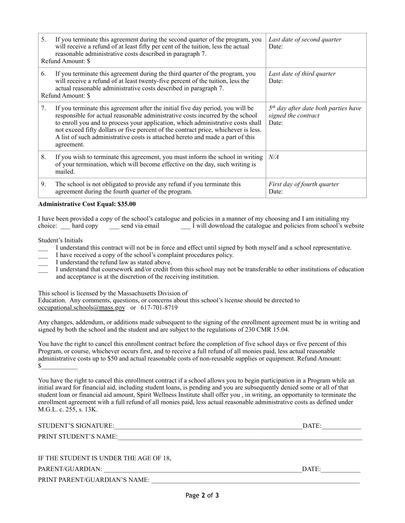| 5. | If you terminate this agreement during the second quarter of the program, you<br>will receive a refund of at least fifty per cent of the tuition, less the actual<br>reasonable administrative costs described in paragraph 7.<br>Refund Amount: \$                                                                                                                                                                                      | Last date of second quarter<br>Date:                                   |
|----|------------------------------------------------------------------------------------------------------------------------------------------------------------------------------------------------------------------------------------------------------------------------------------------------------------------------------------------------------------------------------------------------------------------------------------------|------------------------------------------------------------------------|
| 6. | If you terminate this agreement during the third quarter of the program, you<br>will receive a refund of at least twenty-five percent of the tuition, less the<br>actual reasonable administrative costs described in paragraph 7.<br>Refund Amount: \$                                                                                                                                                                                  | Last date of third quarter<br>Date:                                    |
| 7. | If you terminate this agreement after the initial five day period, you will be<br>responsible for actual reasonable administrative costs incurred by the school<br>to enroll you and to process your application, which administrative costs shall<br>not exceed fifty dollars or five percent of the contract price, whichever is less.<br>A list of such administrative costs is attached hereto and made a part of this<br>agreement. | $5th$ day after date both parties have<br>signed the contract<br>Date: |
| 8. | If you wish to terminate this agreement, you must inform the school in writing<br>of your termination, which will become effective on the day, such writing is<br>mailed.                                                                                                                                                                                                                                                                | N/A                                                                    |
| 9. | The school is not obligated to provide any refund if you terminate this<br>agreement during the fourth quarter of the program.                                                                                                                                                                                                                                                                                                           | First day of fourth quarter<br>Date:                                   |

## **Administrative Cost Equal: \$35.00**

I have been provided a copy of the school's catalogue and policies in a manner of my choosing and I am initialing my choice: hard copy send via email I will download the catalogue and policies from school's website

Student's Initials

- \_\_\_ I understand this contract will not be in force and effect until signed by both myself and a school representative.
- \_\_\_ I have received a copy of the school's complaint procedures policy.
- I understand the refund law as stated above.
- \_\_\_ I understand that coursework and/or credit from this school may not be transferable to other institutions of education and acceptance is at the discretion of the receiving institution.

This school is licensed by the Massachusetts Division of Occupational Licensure, Office of Private Occupational School Education. Any comments, questions, or concerns about this school's license should be directed to <u>occu</u> Education. Any comments, questions, or concerns about this school's license should be directed to  $occupational.schools@mass.gov$  or 617-701-8719

Any changes, addendum, or additions made subsequent to the signing of the enrollment agreement must be in writing and signed by both the school and the student and are subject to the regulations of 230 CMR 15.04.

You have the right to cancel this enrollment contract before the completion of five school days or five percent of this Program, or course, whichever occurs first, and to receive a full refund of all monies paid, less actual reasonable administrative costs up to \$50 and actual reasonable costs of non-reusable supplies or equipment. Refund Amount:  $\mathbb{S}$ 

You have the right to cancel this enrollment contract if a school allows you to begin participation in a Program while an initial award for financial aid, including student loans, is pending and you are subsequently denied some or all of that student loan or financial aid amount, Spirit Wellness Institute shall offer you , in writing, an opportunity to terminate the enrollment agreement with a full refund of all monies paid, less actual reasonable administrative costs as defined under M.G.L. c. 255, s. 13K.

| STUDENT'S SIGNATURE:                   | DATE: |
|----------------------------------------|-------|
| PRINT STUDENT'S NAME:                  |       |
|                                        |       |
| IF THE STUDENT IS UNDER THE AGE OF 18. |       |
| PARENT/GUARDIAN:                       | DATE: |

PRINT PARENT/GUARDIAN'S NAME: